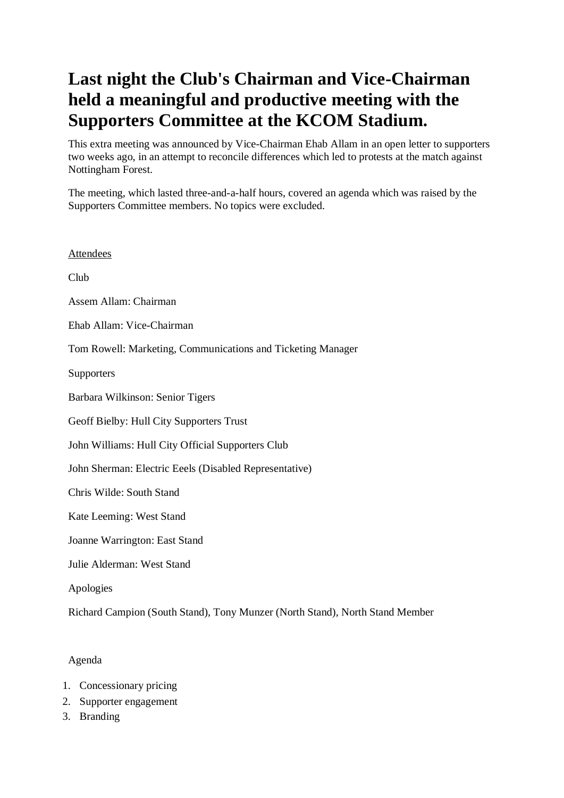# **Last night the Club's Chairman and Vice-Chairman held a meaningful and productive meeting with the Supporters Committee at the KCOM Stadium.**

This extra meeting was announced by Vice-Chairman Ehab Allam in an open letter to supporters two weeks ago, in an attempt to reconcile differences which led to protests at the match against Nottingham Forest.

The meeting, which lasted three-and-a-half hours, covered an agenda which was raised by the Supporters Committee members. No topics were excluded.

| <b>Attendees</b>                                                             |
|------------------------------------------------------------------------------|
| Club                                                                         |
| Assem Allam: Chairman                                                        |
| Ehab Allam: Vice-Chairman                                                    |
| Tom Rowell: Marketing, Communications and Ticketing Manager                  |
| Supporters                                                                   |
| Barbara Wilkinson: Senior Tigers                                             |
| Geoff Bielby: Hull City Supporters Trust                                     |
| John Williams: Hull City Official Supporters Club                            |
| John Sherman: Electric Eeels (Disabled Representative)                       |
| Chris Wilde: South Stand                                                     |
| Kate Leeming: West Stand                                                     |
| Joanne Warrington: East Stand                                                |
| Julie Alderman: West Stand                                                   |
| Apologies                                                                    |
| Richard Campion (South Stand), Tony Munzer (North Stand), North Stand Member |
|                                                                              |
| Agenda                                                                       |

- 1. Concessionary pricing
- 2. Supporter engagement
- 3. Branding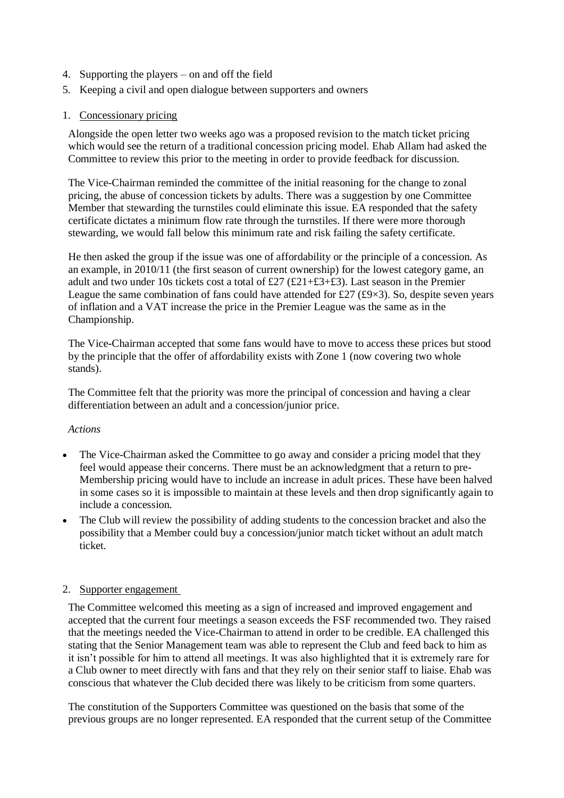- 4. Supporting the players on and off the field
- 5. Keeping a civil and open dialogue between supporters and owners

## 1. Concessionary pricing

Alongside the open letter two weeks ago was a proposed revision to the match ticket pricing which would see the return of a traditional concession pricing model. Ehab Allam had asked the Committee to review this prior to the meeting in order to provide feedback for discussion.

The Vice-Chairman reminded the committee of the initial reasoning for the change to zonal pricing, the abuse of concession tickets by adults. There was a suggestion by one Committee Member that stewarding the turnstiles could eliminate this issue. EA responded that the safety certificate dictates a minimum flow rate through the turnstiles. If there were more thorough stewarding, we would fall below this minimum rate and risk failing the safety certificate.

He then asked the group if the issue was one of affordability or the principle of a concession. As an example, in 2010/11 (the first season of current ownership) for the lowest category game, an adult and two under 10s tickets cost a total of £27 (£21+£3+£3). Last season in the Premier League the same combination of fans could have attended for £27 ( $\text{\textsterling}9\times3$ ). So, despite seven years of inflation and a VAT increase the price in the Premier League was the same as in the Championship.

The Vice-Chairman accepted that some fans would have to move to access these prices but stood by the principle that the offer of affordability exists with Zone 1 (now covering two whole stands).

The Committee felt that the priority was more the principal of concession and having a clear differentiation between an adult and a concession/junior price.

## *Actions*

- The Vice-Chairman asked the Committee to go away and consider a pricing model that they feel would appease their concerns. There must be an acknowledgment that a return to pre-Membership pricing would have to include an increase in adult prices. These have been halved in some cases so it is impossible to maintain at these levels and then drop significantly again to include a concession.
- The Club will review the possibility of adding students to the concession bracket and also the possibility that a Member could buy a concession/junior match ticket without an adult match ticket.

## 2. Supporter engagement

The Committee welcomed this meeting as a sign of increased and improved engagement and accepted that the current four meetings a season exceeds the FSF recommended two. They raised that the meetings needed the Vice-Chairman to attend in order to be credible. EA challenged this stating that the Senior Management team was able to represent the Club and feed back to him as it isn't possible for him to attend all meetings. It was also highlighted that it is extremely rare for a Club owner to meet directly with fans and that they rely on their senior staff to liaise. Ehab was conscious that whatever the Club decided there was likely to be criticism from some quarters.

The constitution of the Supporters Committee was questioned on the basis that some of the previous groups are no longer represented. EA responded that the current setup of the Committee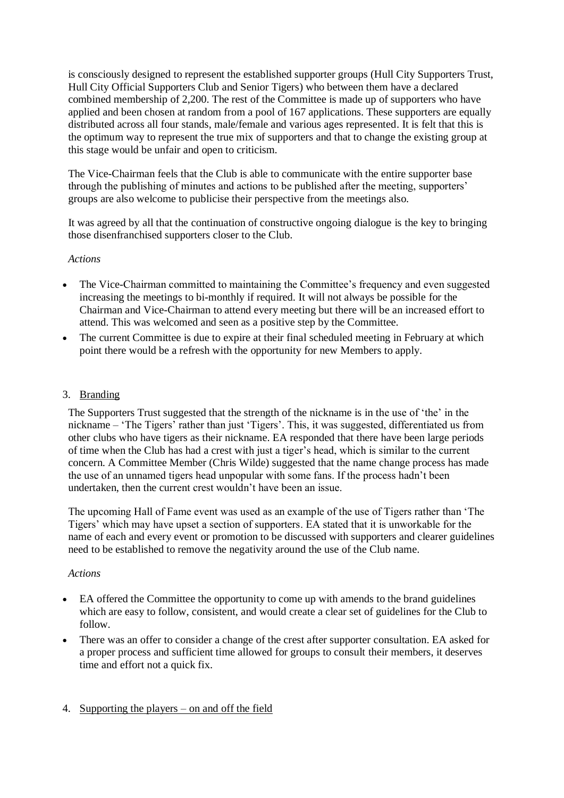is consciously designed to represent the established supporter groups (Hull City Supporters Trust, Hull City Official Supporters Club and Senior Tigers) who between them have a declared combined membership of 2,200. The rest of the Committee is made up of supporters who have applied and been chosen at random from a pool of 167 applications. These supporters are equally distributed across all four stands, male/female and various ages represented. It is felt that this is the optimum way to represent the true mix of supporters and that to change the existing group at this stage would be unfair and open to criticism.

The Vice-Chairman feels that the Club is able to communicate with the entire supporter base through the publishing of minutes and actions to be published after the meeting, supporters' groups are also welcome to publicise their perspective from the meetings also.

It was agreed by all that the continuation of constructive ongoing dialogue is the key to bringing those disenfranchised supporters closer to the Club.

### *Actions*

- The Vice-Chairman committed to maintaining the Committee's frequency and even suggested increasing the meetings to bi-monthly if required. It will not always be possible for the Chairman and Vice-Chairman to attend every meeting but there will be an increased effort to attend. This was welcomed and seen as a positive step by the Committee.
- The current Committee is due to expire at their final scheduled meeting in February at which point there would be a refresh with the opportunity for new Members to apply.

### 3. Branding

The Supporters Trust suggested that the strength of the nickname is in the use of 'the' in the nickname – 'The Tigers' rather than just 'Tigers'. This, it was suggested, differentiated us from other clubs who have tigers as their nickname. EA responded that there have been large periods of time when the Club has had a crest with just a tiger's head, which is similar to the current concern. A Committee Member (Chris Wilde) suggested that the name change process has made the use of an unnamed tigers head unpopular with some fans. If the process hadn't been undertaken, then the current crest wouldn't have been an issue.

The upcoming Hall of Fame event was used as an example of the use of Tigers rather than 'The Tigers' which may have upset a section of supporters. EA stated that it is unworkable for the name of each and every event or promotion to be discussed with supporters and clearer guidelines need to be established to remove the negativity around the use of the Club name.

#### *Actions*

- EA offered the Committee the opportunity to come up with amends to the brand guidelines which are easy to follow, consistent, and would create a clear set of guidelines for the Club to follow.
- There was an offer to consider a change of the crest after supporter consultation. EA asked for a proper process and sufficient time allowed for groups to consult their members, it deserves time and effort not a quick fix.

## 4. Supporting the players – on and off the field